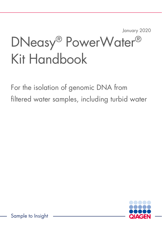January 2020

# DNeasy® PowerWater® Kit Handbook

For the isolation of genomic DNA from filtered water samples, including turbid water

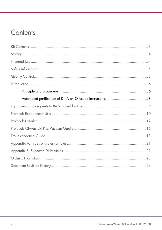### Contents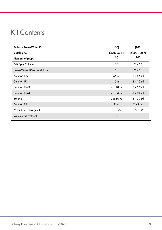### Kit Contents

| <b>DNeasy PowerWater Kit</b> | (50)             | (100)            |
|------------------------------|------------------|------------------|
| Catalog no.                  | 14900-50-NF      | 14900-100-NF     |
| Number of preps              | 50               | 100              |
| <b>MB Spin Columns</b>       | 50               | $2 \times 50$    |
| PowerWater DNA Bead Tubes    | 50               | $2 \times 50$    |
| Solution PW1                 | 55 ml            | $2 \times 55$ ml |
| Solution IRS                 | $15$ m           | $2 \times 15$ ml |
| Solution PW3                 | $2 \times 18$ ml | $2 \times 36$ ml |
| Solution PW4                 | $2 \times 24$ ml | $3 \times 24$ ml |
| Ethanol                      | $2 \times 30$ ml | $3 \times 30$ ml |
| Solution EB                  | $9$ m            | $2 \times 9$ ml  |
| Collection Tubes (2 ml)      | $5 \times 50$    | $10 \times 50$   |
| Quick-Start Protocol         |                  |                  |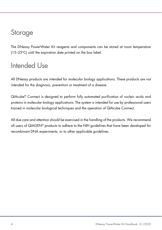### Storage

The DNeasy PowerWater Kit reagents and components can be stored at room temperature (15–25°C) until the expiration date printed on the box label.

### Intended Use

All DNeasy products are intended for molecular biology applications. These products are not intended for the diagnosis, prevention or treatment of a disease.

QIAcube® Connect is designed to perform fully automated purification of nucleic acids and proteins in molecular biology applications. The system is intended for use by professional users trained in molecular biological techniques and the operation of QIAcube Connect.

All due care and attention should be exercised in the handling of the products. We recommend all users of QIAGEN® products to adhere to the NIH guidelines that have been developed for recombinant DNA experiments, or to other applicable guidelines.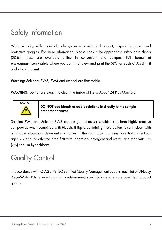### Safety Information

When working with chemicals, always wear a suitable lab coat, disposable gloves and protective goggles. For more information, please consult the appropriate safety data sheets (SDSs). These are available online in convenient and compact PDF format at www.qiagen.com/safety where you can find, view and print the SDS for each QIAGEN kit and kit component.

Warning: Solutions PW3, PW4 and ethanol are flammable.

WARNING: Do not use bleach to clean the inside of the QIAvac® 24 Plus Manifold.



DO NOT add bleach or acidic solutions to directly to the sample preparation waste

Solution PW1 and Solution PW3 contain guanidine salts, which can form highly reactive compounds when combined with bleach. If liquid containing these buffers is spilt, clean with a suitable laboratory detergent and water. If the spilt liquid contains potentially infectious agents, clean the affected area first with laboratory detergent and water, and then with 1% (v/v) sodium hypochlorite.

### Quality Control

In accordance with QIAGEN's ISO-certified Quality Management System, each lot of DNeasy PowerWater Kits is tested against predetermined specifications to ensure consistent product quality.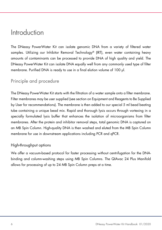### Introduction

The DNeasy PowerWater Kit can isolate genomic DNA from a variety of filtered water samples. Utilizing our Inhibitor Removal Technology® (IRT), even water containing heavy amounts of contaminants can be processed to provide DNA of high quality and yield. The DNeasy PowerWater Kit can isolate DNA equally well from any commonly used type of filter membrane. Purified DNA is ready to use in a final elution volume of 100 µl.

### Principle and procedure

The DNeasy PowerWater Kit starts with the filtration of a water sample onto a filter membrane. Filter membranes may be user supplied (see section on Equipment and Reagents to Be Supplied by User for recommendations). The membrane is then added to our special 5 ml bead beating tube containing a unique bead mix. Rapid and thorough lysis occurs through vortexing in a specially formulated lysis buffer that enhances the isolation of microorganisms from filter membranes. After the protein and inhibitor removal steps, total genomic DNA is captured on an MB Spin Column. High-quality DNA is then washed and eluted from the MB Spin Column membrane for use in downstream applications including PCR and qPCR.

#### High-throughput options

We offer a vacuum-based protocol for faster processing without centrifugation for the DNAbinding and column-washing steps using MB Spin Columns. The QIAvac 24 Plus Manifold allows for processing of up to 24 MB Spin Column preps at a time.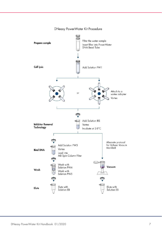

#### DNeasy PowerWater Kit Procedure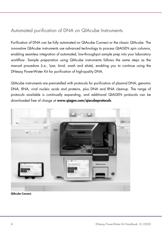### Automated purification of DNA on QIAcube Instruments

Purification of DNA can be fully automated on QIAcube Connect or the classic QIAcube. The innovative QIAcube instruments use advanced technology to process QIAGEN spin columns, enabling seamless integration of automated, low-throughput sample prep into your laboratory workflow. Sample preparation using QIAcube instruments follows the same steps as the manual procedure (i.e., lyse, bind, wash and elute), enabling you to continue using the DNeasy PowerWater Kit for purification of high-quality DNA.

QIAcube instruments are preinstalled with protocols for purification of plasmid DNA, genomic DNA, RNA, viral nucleic acids and proteins, plus DNA and RNA cleanup. The range of protocols available is continually expanding, and additional QIAGEN protocols can be downloaded free of charge at www.qiagen.com/qiacubeprotocols.



QIAcube Connect.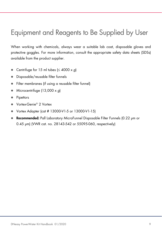### Equipment and Reagents to Be Supplied by User

When working with chemicals, always wear a suitable lab coat, disposable gloves and protective goggles. For more information, consult the appropriate safety data sheets (SDSs) available from the product supplier.

- Centrifuge for 15 ml tubes  $( \leq 4000 \times q)$
- Disposable/reusable filter funnels
- Filter membranes (if using a reusable filter funnel)
- $\bullet$  Microcentrifuge (13,000 x g)
- Pipettors
- Vortex-Genie<sup>®</sup> 2 Vortex
- Vortex Adapter (cat # 13000-V1-5 or 13000-V1-15)
- Recommended: Pall Laboratory MicroFunnel Disposable Filter Funnels (0.22 µm or 0.45 µm) (VWR cat. no. 28143-542 or 55095-060, respectively)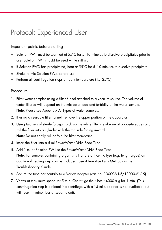### Protocol: Experienced User

#### Important points before starting

- Solution PW1 must be warmed at 55°C for 5–10 minutes to dissolve precipitates prior to use. Solution PW1 should be used while still warm.
- If Solution PW3 has precipitated, heat at 55°C for 5-10 minutes to dissolve precipitate.
- Shake to mix Solution PW4 before use.
- **•** Perform all centrifugation steps at room temperature  $(15-25^{\circ}C)$ .

#### Procedure

- 1. Filter water samples using a filter funnel attached to a vacuum source. The volume of water filtered will depend on the microbial load and turbidity of the water sample. Note: Please see Appendix A: Types of water samples.
- 2. If using a reusable filter funnel, remove the upper portion of the apparatus.
- 3. Using two sets of sterile forceps, pick up the white filter membrane at opposite edges and roll the filter into a cylinder with the top side facing inward. Note: Do not tightly roll or fold the filter membrane.
- 4. Insert the filter into a 5 ml PowerWater DNA Bead Tube.
- 5. Add 1 ml of Solution PW1 to the PowerWater DNA Bead Tube. Note: For samples containing organisms that are difficult to lyse (e.g. fungi, algae) an additional heating step can be included. See Alternative Lysis Methods in the Troubleshooting Guide.
- 6. Secure the tube horizontally to a Vortex Adapter (cat. no. 13000-V1-5/13000-V1-15).
- 7. Vortex at maximum speed for 5 min. Centrifuge the tubes  $\leq 4000 \times g$  for 1 min. (This centrifugation step is optional if a centrifuge with a 15 ml tube rotor is not available, but will result in minor loss of supernatant).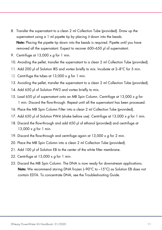- 8. Transfer the supernatant to a clean 2 ml Collection Tube (provided). Draw up the supernatant using a 1 ml pipette tip by placing it down into the beads. Note: Placing the pipette tip down into the beads is required. Pipette until you have removed all the supernatant. Expect to recover 600–650 µl of supernatant.
- 9. Centrifuge at 13,000 x g for 1 min.
- 10. Avoiding the pellet, transfer the supernatant to a clean 2 ml Collection Tube (provided).
- 11. Add 200 µl of Solution IRS and vortex briefly to mix. Incubate at 2–8°C for 5 min.
- 12. Centrifuge the tubes at  $13,000 \times a$  for 1 min.
- 13. Avoiding the pellet, transfer the supernatant to a clean 2 ml Collection Tube (provided).
- 14. Add 650 µl of Solution PW3 and vortex briefly to mix.
- 15. Load 650 µl of supernatant onto an MB Spin Column. Centrifuge at 13,000 x g for 1 min. Discard the flow-through. Repeat until all the supernatant has been processed.
- 16. Place the MB Spin Column Filter into a clean 2 ml Collection Tube (provided).
- 17. Add 650 µl of Solution PW4 (shake before use). Centrifuge at 13,000 x g for 1 min.
- 18. Discard the flow-through and add 650 µl of ethanol (provided) and centrifuge at 13,000  $\times$  g for 1 min.
- 19. Discard the flow-through and centrifuge again at  $13,000 \times g$  for 2 min.
- 20. Place the MB Spin Column into a clean 2 ml Collection Tube (provided).
- 21. Add 100 µl of Solution EB to the center of the white filter membrane.
- 22. Centrifuge at  $13,000 \times g$  for 1 min.
- 23. Discard the MB Spin Column. The DNA is now ready for downstream applications. **Note:** We recommend storing DNA frozen  $\left(-90^{\circ}\text{C}$  to  $-15^{\circ}\text{C}\right)$  as Solution EB does not contain EDTA. To concentrate DNA, see the Troubleshooting Guide.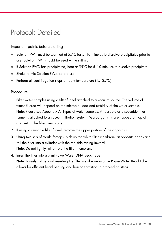### Protocol: Detailed

#### Important points before starting

- Solution PW1 must be warmed at 55°C for 5–10 minutes to dissolve precipitates prior to use. Solution PW1 should be used while still warm.
- If Solution PW3 has precipitated, heat at 55°C for 5-10 minutes to dissolve precipitate.
- Shake to mix Solution PW4 before use.
- Perform all centrifugation steps at room temperature (15–25°C).

#### Procedure

- 1. Filter water samples using a filter funnel attached to a vacuum source. The volume of water filtered will depend on the microbial load and turbidity of the water sample. Note: Please see Appendix A: Types of water samples. A reusable or disposable filter funnel is attached to a vacuum filtration system. Microorganisms are trapped on top of and within the filter membrane.
- 2. If using a reusable filter funnel, remove the upper portion of the apparatus.
- 3. Using two sets of sterile forceps, pick up the white filter membrane at opposite edges and roll the filter into a cylinder with the top side facing inward. Note: Do not tightly roll or fold the filter membrane.
- 4. Insert the filter into a 5 ml PowerWater DNA Bead Tube. Note: Loosely rolling and inserting the filter membrane into the PowerWater Bead Tube allows for efficient bead beating and homogenization in proceeding steps.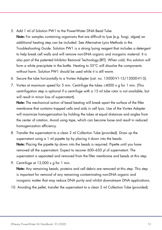5. Add 1 ml of Solution PW1 to the PowerWater DNA Bead Tube.

Note: For samples containing organisms that are difficult to lyse (e.g. fungi, algae) an additional heating step can be included. See Alternative Lysis Methods in the Troubleshooting Guide. Solution PW1 is a strong lysing reagent that includes a detergent to help break cell walls and will remove non-DNA organic and inorganic material. It is also part of the patented Inhibitor Removal Technology (IRT). When cold, this solution will form a white precipitate in the bottle. Heating to 55°C will dissolve the components without harm. Solution PW1 should be used while it is still warm.

- 6. Secure the tube horizontally to a Vortex Adapter (cat. no. 13000-V1-15/13000-V1-5).
- 7. Vortex at maximum speed for 5 min. Centrifuge the tubes  $\leq 4000 \times g$  for 1 min. (This centrifugation step is optional if a centrifuge with a 15 ml tube rotor is not available, but will result in minor loss of supernatant).

Note: The mechanical action of bead beating will break apart the surface of the filter membrane that contains trapped cells and aids in cell lysis. Use of the Vortex Adapter will maximize homogenization by holding the tubes at equal distances and angles from the center of rotation. Avoid using tape, which can become loose and result in reduced homogenization efficiency.

- 8. Transfer the supernatant to a clean 2 ml Collection Tube (provided). Draw up the supernatant using a 1 ml pipette tip by placing it down into the beads. Note: Placing the pipette tip down into the beads is required. Pipette until you have removed all the supernatant. Expect to recover 600–650 µl of supernatant. The supernatant is separated and removed from the filter membrane and beads at this step.
- 9. Centrifuge at  $13,000 \times g$  for 1 min.

Note: Any remaining beads, proteins and cell debris are removed at this step. This step is important for removal of any remaining contaminating non-DNA organic and inorganic matter that may reduce DNA purity and inhibit downstream DNA applications.

10. Avoiding the pellet, transfer the supernatant to a clean 2 ml Collection Tube (provided).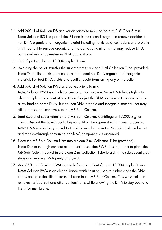- 11. Add 200 µl of Solution IRS and vortex briefly to mix. Incubate at 2–8°C for 5 min. Note: Solution IRS is a part of the IRT and is the second reagent to remove additional non-DNA organic and inorganic material including humic acid, cell debris and proteins. It is important to remove organic and inorganic contaminants that may reduce DNA purity and inhibit downstream DNA applications.
- 12. Centrifuge the tubes at  $13,000 \times q$  for 1 min.
- 13. Avoiding the pellet, transfer the supernatant to a clean 2 ml Collection Tube (provided). Note: The pellet at this point contains additional non-DNA organic and inorganic material. For best DNA yields and quality, avoid transferring any of the pellet.
- 14. Add 650 µl of Solution PW3 and vortex briefly to mix. Note: Solution PW3 is a high concentration salt solution. Since DNA binds tightly to silica at high salt concentrations, this will adjust the DNA solution salt concentration to allow binding of the DNA, but not non-DNA organic and inorganic material that may still be present at low levels, to the MB Spin Column.
- 15. Load 650 µl of supernatant onto a MB Spin Column. Centrifuge at 13,000 x g for 1 min. Discard the flow-through. Repeat until all the supernatant has been processed. Note: DNA is selectively bound to the silica membrane in the MB Spin Column basket and the flow-through containing non-DNA components is discarded.
- 16. Place the MB Spin Column Filter into a clean 2 ml Collection Tube (provided). **Note:** Due to the high concentration of salt in solution PW3, it is important to place the MB Spin Column basket into a clean 2 ml Collection Tube to aid in the subsequent wash steps and improve DNA purity and yield.
- 17. Add 650 µl of Solution PW4 (shake before use). Centrifuge at 13,000 x g for 1 min. Note: Solution PW4 is an alcohol-based wash solution used to further clean the DNA that is bound to the silica filter membrane in the MB Spin Column. This wash solution removes residual salt and other contaminants while allowing the DNA to stay bound to the silica membrane.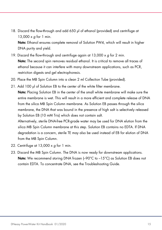18. Discard the flow-through and add 650 µl of ethanol (provided) and centrifuge at 13,000 x g for 1 min.

Note: Ethanol ensures complete removal of Solution PW4, which will result in higher DNA purity and yield.

- 19. Discard the flow-through and centrifuge again at 13,000 x g for 2 min. Note: The second spin removes residual ethanol. It is critical to remove all traces of ethanol because it can interfere with many downstream applications, such as PCR, restriction digests and gel electrophoresis.
- 20. Place the MB Spin Column into a clean 2 ml Collection Tube (provided).
- 21. Add 100 µl of Solution EB to the center of the white filter membrane. Note: Placing Solution EB in the center of the small white membrane will make sure the entire membrane is wet. This will result in a more efficient and complete release of DNA from the silica MB Spin Column membrane. As Solution EB passes through the silica membrane, the DNA that was bound in the presence of high salt is selectively released by Solution EB (10 mM Tris) which does not contain salt.

Alternatively, sterile DNA-free PCR-grade water may be used for DNA elution from the silica MB Spin Column membrane at this step. Solution EB contains no EDTA. If DNA degradation is a concern, sterile TE may also be used instead of EB for elution of DNA from the MB Spin Column.

- 22. Centrifuge at  $13,000 \times g$  for 1 min.
- 23. Discard the MB Spin Column. The DNA is now ready for downstream applications. **Note:** We recommend storing DNA frozen  $\left(-90^{\circ}\text{C}$  to  $-15^{\circ}\text{C}\right)$  as Solution EB does not contain EDTA. To concentrate DNA, see the Troubleshooting Guide.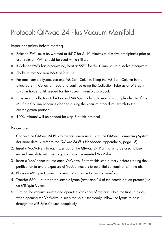### Protocol: QIAvac 24 Plus Vacuum Manifold

#### Important points before starting

- Solution PW1 must be warmed at 55°C for 5-10 minutes to dissolve precipitates prior to use. Solution PW1 should be used while still warm.
- If Solution PW3 has precipitated, heat at  $55^{\circ}$ C for 5–10 minutes to dissolve precipitate.
- Shake to mix Solution PW4 before use.
- For each sample lysate, use one MB Spin Column. Keep the MB Spin Column in the attached 2 ml Collection Tube and continue using the Collection Tube as an MB Spin Column holder until needed for the vacuum manifold protocol.
- Label each Collection Tube top and MB Spin Column to maintain sample identity. If the MB Spin Column becomes clogged during the vacuum procedure, switch to the centrifugation protocol.
- 100% ethanol will be needed for step 8 of this protocol.

#### Procedure

- 1. Connect the QIAvac 24 Plus to the vacuum source using the QIAvac Connecting System (for more details, refer to the QIAvac 24 Plus Handbook, Appendix A, page 16).
- 2. Insert a VacValve into each Luer slot of the QIAvac 24 Plus that is to be used. Close unused Luer slots with Luer plugs or close the inserted VacValve.
- 3. Insert a VacConnector into each VacValve. Perform this step directly before starting the purification to avoid exposure of VacConnectors to potential contaminants in the air.
- 4. Place an MB Spin Column into each VacConnector on the manifold.
- 5. Transfer 650 µl of prepared sample lysate (after step 14 of the centrifugation protocol) to an MB Spin Column.
- 6. Turn on the vacuum source and open the VacValve of the port. Hold the tube in place when opening the VacValve to keep the spin filter steady. Allow the lysate to pass through the MB Spin Column completely.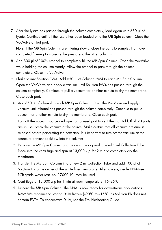7. After the lysate has passed through the column completely, load again with 650 µl of lysate. Continue until all the lysate has been loaded onto the MB Spin column. Close the VacValve of that port.

Note: If the MB Spin Columns are filtering slowly, close the ports to samples that have completed filtering to increase the pressure to the other columns.

- 8. Add 800 µl of 100% ethanol to completely fill the MB Spin Column. Open the VacValve while holding the column steady. Allow the ethanol to pass through the column completely. Close the VacValve.
- 9. Shake to mix Solution PW4. Add 650 µl of Solution PW4 to each MB Spin Column. Open the VacValve and apply a vacuum until Solution PW4 has passed through the column completely. Continue to pull a vacuum for another minute to dry the membrane. Close each port.
- 10. Add 650 µl of ethanol to each MB Spin Column. Open the VacValve and apply a vacuum until ethanol has passed through the column completely. Continue to pull a vacuum for another minute to dry the membrane. Close each port.
- 11. Turn off the vacuum source and open an unused port to vent the manifold. If all 20 ports are in use, break the vacuum at the source. Make certain that all vacuum pressure is released before performing the next step. It is important to turn off the vacuum at the source to prevent backflow into the columns.
- 12. Remove the MB Spin Column and place in the original labeled 2 ml Collection Tube. Place into the centrifuge and spin at  $13,000 \times q$  for 2 min to completely dry the membrane.
- 13. Transfer the MB Spin Column into a new 2 ml Collection Tube and add 100 µl of Solution EB to the center of the white filter membrane. Alternatively, sterile DNA-free PCR-grade water (cat. no. 17000-10) may be used.
- 14. Centrifuge at 13,000 x g for 1 min at room temperature (15-25°C).
- 15. Discard the MB Spin Column. The DNA is now ready for downstream applications. **Note:** We recommend storing DNA frozen  $\left(-90^{\circ}\text{C}$  to  $-15^{\circ}\text{C}\right)$  as Solution EB does not contain EDTA. To concentrate DNA, see the Troubleshooting Guide.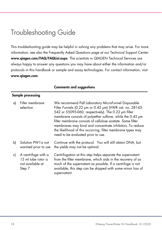### Troubleshooting Guide

This troubleshooting guide may be helpful in solving any problems that may arise. For more information, see also the Frequently Asked Questions page at our Technical Support Center: www.qiagen.com/FAQ/FAQList.aspx. The scientists in QIAGEN Technical Services are always happy to answer any questions you may have about either the information and/or protocols in this handbook or sample and assay technologies. For contact information, visit www.qiagen.com.

|    | Sample processing                                                        |                                                                                                                                                                                                                                                                                                                                                                                                                                                                    |
|----|--------------------------------------------------------------------------|--------------------------------------------------------------------------------------------------------------------------------------------------------------------------------------------------------------------------------------------------------------------------------------------------------------------------------------------------------------------------------------------------------------------------------------------------------------------|
| a) | Filter membrane<br>selection                                             | We recommend Pall Laboratory MicroFunnel Disposable<br>Filter Funnels (0.22 µm or 0.45 µm) (VWR cat. no. 28143-<br>542 or 55095-060, respectively). The 0.22 µm filter<br>membrane consists of polyether sulfone, while the 0.45 pm<br>filter membrane consists of cellulose acetate. Some filter<br>membranes may bind and concentrate inhibitors. To reduce<br>the likelihood of this occurring, filter membrane types may<br>need to be evaluated prior to use. |
| b) | Solution PW lis not<br>warmed prior to use                               | Continue with the protocol. You will still obtain DNA, but<br>the yields may not be optimal.                                                                                                                                                                                                                                                                                                                                                                       |
| c) | A centrifuge with a<br>15 ml tube rotor is<br>not available at<br>Step 7 | Centrifugation at this step helps separate the supernatant<br>from the filter membrane, which aids in the recovery of as<br>much of the supernatant as possible. If a centrifuge is not<br>available, this step can be skipped with some minor loss of<br>supernatant.                                                                                                                                                                                             |

#### Comments and suggestions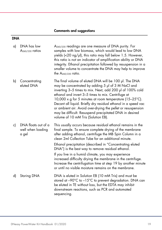### Comments and suggestions

### DNA

| a) | DNA has low<br>A <sub>260/230</sub> ratios        | A <sub>260/230</sub> readings are one measure of DNA purity. For<br>samples with low biomass, which would lead to low DNA<br>yields $\left\langle \langle 20 \nvert \eta / \mu \rangle \right\rangle$ , this ratio may fall below 1.5. However,<br>this ratio is not an indicator of amplification ability or DNA<br>integrity. Ethanol precipitation followed by resuspension in a<br>smaller volume to concentrate the DNA may help to improve<br>the $A_{260/230}$ ratio.                                                                                                                               |
|----|---------------------------------------------------|------------------------------------------------------------------------------------------------------------------------------------------------------------------------------------------------------------------------------------------------------------------------------------------------------------------------------------------------------------------------------------------------------------------------------------------------------------------------------------------------------------------------------------------------------------------------------------------------------------|
| b) | Concentrating<br>eluted DNA                       | The final volume of eluted DNA will be 100 µl. The DNA<br>may be concentrated by adding 5 µl of 3 M NaCl and<br>inverting 3-5 times to mix. Next, add 200 µl of 100% cold<br>ethanol and invert 3-5 times to mix. Centrifuge at<br>10,000 x g for 5 minutes at room temperature (15-25°C).<br>Decant all liquid. Briefly dry residual ethanol in a speed vac<br>or ambient air. Avoid over-drying the pellet or resuspension<br>may be difficult. Resuspend precipitated DNA in desired<br>volume of 10 mM Tris (Solution EB).                                                                             |
| c) | DNA floats out of a<br>well when loading<br>a gel | This usually occurs because residual ethanol remains in the<br>final sample. To ensure complete drying of the membrane<br>after adding ethanol, centrifuge the MB Spin Column in a<br>clean 2ml Collection Tube for an additional minute.<br>Ethanol precipitation (described in "Concentrating eluted<br>DNA") is the best way to remove residual ethanol.<br>If you live in a humid climate, you may experience<br>increased difficulty drying the membrane in the centrifuge.<br>Increase the centrifugation time at step 19 by another minute<br>or until no visible moisture remains on the membrane. |
| d) | Storing DNA                                       | DNA is eluted in Solution EB (10 mM Tris) and must be<br>stored at $-90^{\circ}$ C to $-15^{\circ}$ C to prevent degradation. DNA can<br>be eluted in TE without loss, but the EDTA may inhibit<br>downstream reactions, such as PCR and automated<br>sequencing.                                                                                                                                                                                                                                                                                                                                          |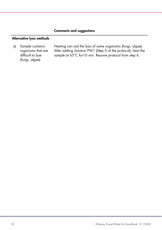#### Comments and suggestions

#### Alternative lysis methods

a) Sample contains organisms that are difficult to lyse (fungi, algae)

Heating can aid the lysis of some organisms (fungi, algae). After adding Solution PW1 (Step 5 of the protocol), heat the sample at 65°C for10 min. Resume protocol from step 6.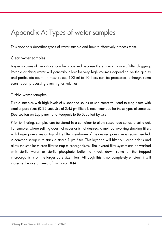### Appendix A: Types of water samples

This appendix describes types of water sample and how to effectively process them.

#### Clear water samples

Larger volumes of clear water can be processed because there is less chance of filter clogging. Potable drinking water will generally allow for very high volumes depending on the quality and particulate count. In most cases, 100 ml to 10 liters can be processed, although some users report processing even higher volumes.

#### Turbid water samples

Turbid samples with high levels of suspended solids or sediments will tend to clog filters with smaller pore sizes (0.22 µm). Use of 0.45 µm filters is recommended for these types of samples. (See section on Equipment and Reagents to Be Supplied by User).

Prior to filtering, samples can be stored in a container to allow suspended solids to settle out. For samples where settling does not occur or is not desired, a method involving stacking filters with larger pore sizes on top of the filter membrane of the desired pore size is recommended. A common set-up is to stack a sterile 1 µm filter. This layering will filter out large debris and allow the smaller micron filter to trap microorganisms. The layered filter system can be washed with sterile water or sterile phosphate buffer to knock down some of the trapped microorganisms on the larger pore size filters. Although this is not completely efficient, it will increase the overall yield of microbial DNA.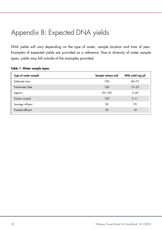### Appendix B: Expected DNA yields

DNA yields will vary depending on the type of water, sample location and time of year. Examples of expected yields are provided as a reference. Due to diversity of water sample types, yields may fall outside of the examples provided.

| Sample volume (ml) | $DNA$ yield $\langle ng/\mu l \rangle$ |
|--------------------|----------------------------------------|
| 100                | $40 - 72$                              |
| 100                | $15 - 25$                              |
| $20 - 100$         | $3 - 38$                               |
| 100                | $3 - 11$                               |
| 50                 | 95                                     |
| 50                 | 18                                     |
|                    |                                        |

#### Table 1. Water sample types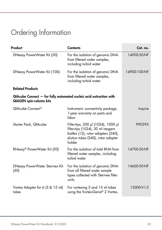## Ordering Information

| Product                                                                                              | <b>Contents</b>                                                                                                                                                 | Cat. no.     |
|------------------------------------------------------------------------------------------------------|-----------------------------------------------------------------------------------------------------------------------------------------------------------------|--------------|
| DNeasy PowerWater Kit (50)                                                                           | For the isolation of genomic DNA<br>from filtered water samples,<br>including turbid water                                                                      | 14900-50-NF  |
| DNeasy PowerWater Kit (100)                                                                          | For the isolation of genomic DNA<br>from filtered water samples,<br>including turbid water                                                                      | 14900-100-NF |
| <b>Related Products</b>                                                                              |                                                                                                                                                                 |              |
| QIAcube Connect - for fully automated nucleic acid extraction with<br><b>QIAGEN</b> spin-column kits |                                                                                                                                                                 |              |
| QIAcube Connect*                                                                                     | Instrument, connectivity package,<br>1-year warranty on parts and<br>labor                                                                                      | Inquire      |
| Starter Pack, QIAcube                                                                                | Filter-tips, 200 µl (1024), 1000 µl<br>filter-tips (1024), 30 ml reagent<br>bottles (12), rotor adapters (240),<br>elution tubes (240), rotor adapter<br>holder | 990395       |
| RNeasy® PowerWater Kit (50)                                                                          | For the isolation of total RNA from<br>filtered water samples, including<br>turbid water                                                                        | 14700-50-NF  |
| DNeasy PowerWater Sterivex Kit<br>(50)                                                               | For the isolation of genomic DNA<br>from all filtered water sample<br>types collected with Sterivex filter<br>units                                             | 14600-50-NF  |
| Vortex Adapter for 6 (5 & 15 ml)<br>tubes                                                            | For vortexing 5 and 15 ml tubes<br>using the Vortex-Genie® 2 Vortex.                                                                                            | 13000-V1-5   |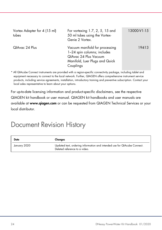| Vortex Adapter for 4 (15 ml)<br>tubes | For vortexing $1.7, 2, 5, 15$ and<br>50 ml tubes using the Vortex-<br>Genie 2 Vortex.                                                 | 13000-V1-15 |
|---------------------------------------|---------------------------------------------------------------------------------------------------------------------------------------|-------------|
| QIAvac 24 Plus                        | Vacuum manifold for processing<br>1-24 spin columns; includes<br>QIAvac 24 Plus Vacuum<br>Manifold, Luer Plugs and Quick<br>Couplings | 19413       |

\* All QIAcube Connect instruments are provided with a region-specific connectivity package, including tablet and equipment necessary to connect to the local network. Further, QIAGEN offers comprehensive instrument service products, including service agreements, installation, introductory training and preventive subscription. Contact your local sales representative to learn about your options.

For up-to-date licensing information and product-specific disclaimers, see the respective QIAGEN kit handbook or user manual. QIAGEN kit handbooks and user manuals are available at www.qiagen.com or can be requested from QIAGEN Technical Services or your local distributor.

### Document Revision History

| Date         | Changes                                                                                                   |
|--------------|-----------------------------------------------------------------------------------------------------------|
| January 2020 | Updated text, ordering information and intended use for QIAcube Connect.<br>Deleted reference to a video. |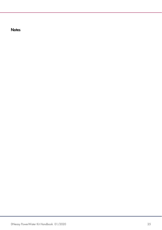**Notes**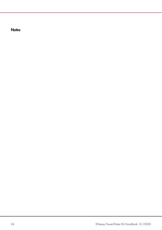**Notes**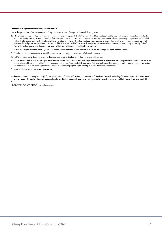#### Limited License Agreement for DNeasy PowerWater Kit

Use of this product signifies the agreement of any purchaser or user of the product to the following terms:

- 1. The product may be used solely in accordance with the protocols provided with the product and this handbook and for use with components contained in the kit only. QIAGEN grants no license under any of its intellectual property to use or incorporate the enclosed components of this kit with any components not included within this kit except as described in the protocols provided with the product, this handbook, and additional protocols available at www.qiagen.com. Some of these additional protocols have been provided by QIAGEN users for QIAGEN users. These protocols have not been thoroughly tested or optimized by QIAGEN. QIAGEN neither guarantees them nor warrants that they do not infringe the rights of third-parties.
- 2. Other than expressly stated licenses, QIAGEN makes no warranty that this kit and/or its use(s) do not infringe the rights of third-parties.
- 3. This kit and its components are licensed for one-time use and may not be reused, refurbished, or resold.
- 4. QIAGEN specifically disclaims any other licenses, expressed or implied other than those expressly stated.
- 5. The purchaser and user of the kit agree not to take or permit anyone else to take any steps that could lead to or facilitate any acts prohibited above. QIAGEN may enforce the prohibitions of this Limited License Agreement in any Court, and shall recover all its investigative and Court costs, including attorney fees, in any action to enforce this Limited License Agreement or any of its intellectual property rights relating to the kit and/or its components.

For updated license terms, see www.qiagen.com.

Trademarks: QIAGEN®, Sample to Insight®, QIAcube®, QIAvac®, DNeasy®, RNeasy®, PowerWater®, Inhibitor Removal Technology® (QIAGEN Group), Vortex-Genie® (Scientific Industries). Registered names, trademarks, etc. used in this document, even when not specifically marked as such, are not to be considered unprotected by law.

HB-2267-002 © 2020 QIAGEN, all rights reserved.